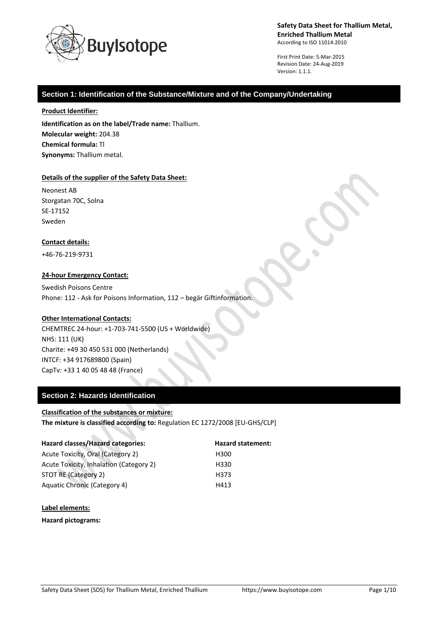

First Print Date: 5-Mar-2015 Revision Date: 24-Aug-2019 Version: 1.1.1.

### **Section 1: Identification of the Substance/Mixture and of the Company/Undertaking**

#### **Product Identifier:**

**Identification as on the label/Trade name:** Thallium. **Molecular weight:** 204.38 **Chemical formula:** Tl **Synonyms:** Thallium metal.

#### **Details of the supplier of the Safety Data Sheet:**

Neonest AB Storgatan 70C, Solna SE-17152 Sweden

#### **Contact details:**

+46-76-219-9731

#### **24-hour Emergency Contact:**

Swedish Poisons Centre Phone: 112 - Ask for Poisons Information, 112 – begär Giftinformation.

#### **Other International Contacts:**

CHEMTREC 24-hour: +1-703-741-5500 (US + Worldwide) NHS: 111 (UK) Charite: +49 30 450 531 000 (Netherlands) INTCF: +34 917689800 (Spain) CapTv: +33 1 40 05 48 48 (France)

### **Section 2: Hazards Identification**

#### **Classification of the substances or mixture:**

**The mixture is classified according to:** Regulation EC 1272/2008 [EU-GHS/CLP]

| Hazard classes/Hazard categories:       | <b>Hazard statement:</b> |
|-----------------------------------------|--------------------------|
| Acute Toxicity, Oral (Category 2)       | H300                     |
| Acute Toxicity, Inhalation (Category 2) | H330                     |
| STOT RE (Category 2)                    | H373                     |
| Aquatic Chronic (Category 4)            | H413                     |

#### **Label elements:**

**Hazard pictograms:**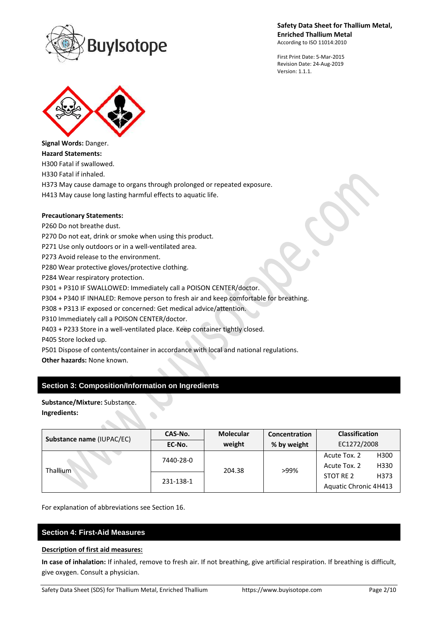

First Print Date: 5-Mar-2015 Revision Date: 24-Aug-2019 Version: 1.1.1.



**Signal Words:** Danger. **Hazard Statements:** H300 Fatal if swallowed. H330 Fatal if inhaled.

H373 May cause damage to organs through prolonged or repeated exposure.

H413 May cause long lasting harmful effects to aquatic life.

## **Precautionary Statements:**

P260 Do not breathe dust.

P270 Do not eat, drink or smoke when using this product.

P271 Use only outdoors or in a well-ventilated area.

P273 Avoid release to the environment.

P280 Wear protective gloves/protective clothing.

P284 Wear respiratory protection.

P301 + P310 IF SWALLOWED: Immediately call a POISON CENTER/doctor.

P304 + P340 IF INHALED: Remove person to fresh air and keep comfortable for breathing.

P308 + P313 IF exposed or concerned: Get medical advice/attention.

P310 Immediately call a POISON CENTER/doctor.

P403 + P233 Store in a well-ventilated place. Keep container tightly closed.

P405 Store locked up.

P501 Dispose of contents/container in accordance with local and national regulations.

**Other hazards:** None known.

## **Section 3: Composition/Information on Ingredients**

**Substance/Mixture:** Substance. **Ingredients:**

| Substance name (IUPAC/EC) | CAS-No.   | <b>Molecular</b><br>Concentration |             | <b>Classification</b> |      |
|---------------------------|-----------|-----------------------------------|-------------|-----------------------|------|
|                           | EC-No.    | weight                            | % by weight | EC1272/2008           |      |
| <b>Thallium</b>           | 7440-28-0 | 204.38                            | >99%        | Acute Tox. 2          | H300 |
|                           |           |                                   |             | Acute Tox. 2          | H330 |
|                           | 231-138-1 |                                   |             | STOT RE 2             | H373 |
|                           |           |                                   |             | Aquatic Chronic 4H413 |      |

For explanation of abbreviations see Section 16.

# **Section 4: First-Aid Measures**

#### **Description of first aid measures:**

**In case of inhalation:** If inhaled, remove to fresh air. If not breathing, give artificial respiration. If breathing is difficult, give oxygen. Consult a physician.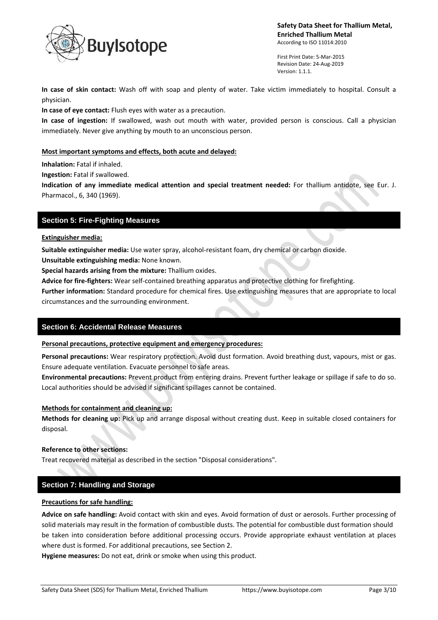

First Print Date: 5-Mar-2015 Revision Date: 24-Aug-2019 Version: 1.1.1.

**In case of skin contact:** Wash off with soap and plenty of water. Take victim immediately to hospital. Consult a physician.

**In case of eye contact:** Flush eyes with water as a precaution.

**In case of ingestion:** If swallowed, wash out mouth with water, provided person is conscious. Call a physician immediately. Never give anything by mouth to an unconscious person.

### **Most important symptoms and effects, both acute and delayed:**

**Inhalation:** Fatal if inhaled.

**Ingestion:** Fatal if swallowed.

**Indication of any immediate medical attention and special treatment needed:** For thallium antidote, see Eur. J. Pharmacol., 6, 340 (1969).

### **Section 5: Fire-Fighting Measures**

#### **Extinguisher media:**

**Suitable extinguisher media:** Use water spray, alcohol-resistant foam, dry chemical or carbon dioxide.

**Unsuitable extinguishing media:** None known.

**Special hazards arising from the mixture:** Thallium oxides.

**Advice for fire-fighters:** Wear self-contained breathing apparatus and protective clothing for firefighting.

**Further information:** Standard procedure for chemical fires. Use extinguishing measures that are appropriate to local circumstances and the surrounding environment.

### **Section 6: Accidental Release Measures**

#### **Personal precautions, protective equipment and emergency procedures:**

**Personal precautions:** Wear respiratory protection. Avoid dust formation. Avoid breathing dust, vapours, mist or gas. Ensure adequate ventilation. Evacuate personnel to safe areas.

**Environmental precautions:** Prevent product from entering drains. Prevent further leakage or spillage if safe to do so. Local authorities should be advised if significant spillages cannot be contained.

#### **Methods for containment and cleaning up:**

**Methods for cleaning up:** Pick up and arrange disposal without creating dust. Keep in suitable closed containers for disposal.

#### **Reference to other sections:**

Treat recovered material as described in the section "Disposal considerations".

## **Section 7: Handling and Storage**

#### **Precautions for safe handling:**

**Advice on safe handling:** Avoid contact with skin and eyes. Avoid formation of dust or aerosols. Further processing of solid materials may result in the formation of combustible dusts. The potential for combustible dust formation should be taken into consideration before additional processing occurs. Provide appropriate exhaust ventilation at places where dust is formed. For additional precautions, see Section 2.

**Hygiene measures:** Do not eat, drink or smoke when using this product.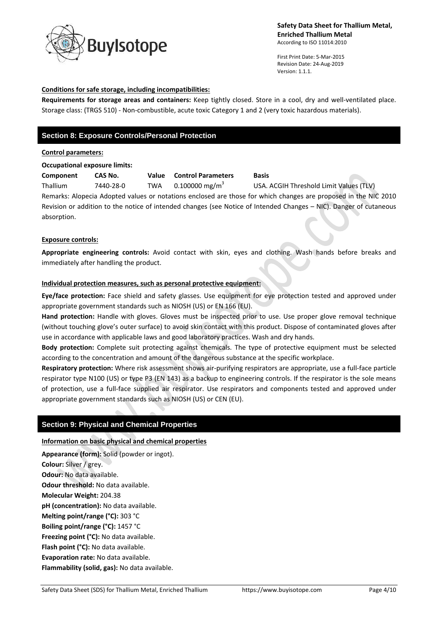

First Print Date: 5-Mar-2015 Revision Date: 24-Aug-2019 Version: 1.1.1.

#### **Conditions for safe storage, including incompatibilities:**

**Requirements for storage areas and containers:** Keep tightly closed. Store in a cool, dry and well-ventilated place. Storage class: (TRGS 510) - Non-combustible, acute toxic Category 1 and 2 (very toxic hazardous materials).

## **Section 8: Exposure Controls/Personal Protection**

#### **Control parameters:**

#### **Occupational exposure limits:**

| Component                                                                                                          | CAS No.   | Value      | <b>Control Parameters</b>  | <b>Basis</b>                            |  |  |
|--------------------------------------------------------------------------------------------------------------------|-----------|------------|----------------------------|-----------------------------------------|--|--|
| <b>Thallium</b>                                                                                                    | 7440-28-0 | <b>TWA</b> | 0.100000 mg/m <sup>3</sup> | USA. ACGIH Threshold Limit Values (TLV) |  |  |
| Remarks: Alopecia Adopted values or notations enclosed are those for which changes are proposed in the NIC 2010    |           |            |                            |                                         |  |  |
| Revision or addition to the notice of intended changes (see Notice of Intended Changes - NIC). Danger of cutaneous |           |            |                            |                                         |  |  |
| absorption.                                                                                                        |           |            |                            |                                         |  |  |

#### **Exposure controls:**

**Appropriate engineering controls:** Avoid contact with skin, eyes and clothing. Wash hands before breaks and immediately after handling the product.

### **Individual protection measures, such as personal protective equipment:**

**Eye/face protection:** Face shield and safety glasses. Use equipment for eye protection tested and approved under appropriate government standards such as NIOSH (US) or EN 166 (EU).

**Hand protection:** Handle with gloves. Gloves must be inspected prior to use. Use proper glove removal technique (without touching glove's outer surface) to avoid skin contact with this product. Dispose of contaminated gloves after use in accordance with applicable laws and good laboratory practices. Wash and dry hands.

**Body protection:** Complete suit protecting against chemicals. The type of protective equipment must be selected according to the concentration and amount of the dangerous substance at the specific workplace.

**Respiratory protection:** Where risk assessment shows air-purifying respirators are appropriate, use a full-face particle respirator type N100 (US) or type P3 (EN 143) as a backup to engineering controls. If the respirator is the sole means of protection, use a full-face supplied air respirator. Use respirators and components tested and approved under appropriate government standards such as NIOSH (US) or CEN (EU).

### **Section 9: Physical and Chemical Properties**

#### **Information on basic physical and chemical properties**

**Appearance (form):** Solid (powder or ingot). **Colour:** Silver / grey. **Odour:** No data available. **Odour threshold:** No data available. **Molecular Weight:** 204.38 **pH (concentration):** No data available. **Melting point/range (°C):** 303 °C **Boiling point/range (°C):** 1457 °C **Freezing point (°C):** No data available. **Flash point (°C):** No data available. **Evaporation rate:** No data available. **Flammability (solid, gas):** No data available.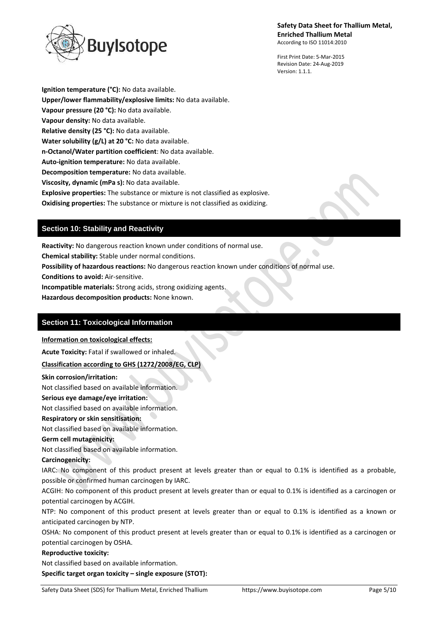uylsotope

First Print Date: 5-Mar-2015 Revision Date: 24-Aug-2019 Version: 1.1.1.

**Ignition temperature (°C):** No data available. **Upper/lower flammability/explosive limits:** No data available. **Vapour pressure (20 °C):** No data available. **Vapour density:** No data available. **Relative density (25 °C):** No data available. **Water solubility (g/L) at 20 °C:** No data available. **n-Octanol/Water partition coefficient**: No data available. **Auto-ignition temperature:** No data available. **Decomposition temperature:** No data available. **Viscosity, dynamic (mPa s):** No data available. **Explosive properties:** The substance or mixture is not classified as explosive.

**Oxidising properties:** The substance or mixture is not classified as oxidizing.

## **Section 10: Stability and Reactivity**

**Reactivity:** No dangerous reaction known under conditions of normal use.

**Chemical stability:** Stable under normal conditions.

**Possibility of hazardous reactions:** No dangerous reaction known under conditions of normal use.

**Conditions to avoid:** Air-sensitive.

**Incompatible materials:** Strong acids, strong oxidizing agents.

**Hazardous decomposition products:** None known.

## **Section 11: Toxicological Information**

**Information on toxicological effects:**

**Acute Toxicity:** Fatal if swallowed or inhaled.

### **Classification according to GHS (1272/2008/EG, CLP)**

**Skin corrosion/irritation:**

Not classified based on available information.

**Serious eye damage/eye irritation:**

Not classified based on available information.

**Respiratory or skin sensitisation:**

Not classified based on available information.

### **Germ cell mutagenicity:**

Not classified based on available information.

#### **Carcinogenicity:**

IARC: No component of this product present at levels greater than or equal to 0.1% is identified as a probable, possible or confirmed human carcinogen by IARC.

ACGIH: No component of this product present at levels greater than or equal to 0.1% is identified as a carcinogen or potential carcinogen by ACGIH.

NTP: No component of this product present at levels greater than or equal to 0.1% is identified as a known or anticipated carcinogen by NTP.

OSHA: No component of this product present at levels greater than or equal to 0.1% is identified as a carcinogen or potential carcinogen by OSHA.

#### **Reproductive toxicity:**

Not classified based on available information.

**Specific target organ toxicity – single exposure (STOT):**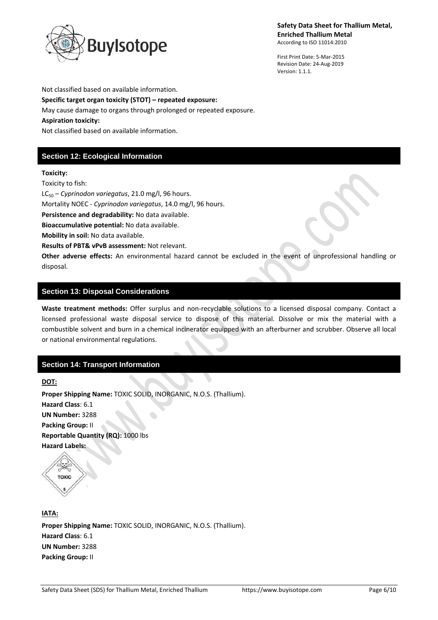

First Print Date: 5-Mar-2015 Revision Date: 24-Aug-2019 Version: 1.1.1.

Not classified based on available information.

**Specific target organ toxicity (STOT) – repeated exposure:**

May cause damage to organs through prolonged or repeated exposure.

#### **Aspiration toxicity:**

Not classified based on available information.

# **Section 12: Ecological Information**

#### **Toxicity:**

Toxicity to fish:

LC<sub>50</sub> – *Cyprinodon variegatus*, 21.0 mg/l, 96 hours.

Mortality NOEC - *Cyprinodon variegatus*, 14.0 mg/l, 96 hours.

**Persistence and degradability:** No data available.

**Bioaccumulative potential:** No data available.

**Mobility in soil:** No data available.

**Results of PBT& vPvB assessment:** Not relevant.

**Other adverse effects:** An environmental hazard cannot be excluded in the event of unprofessional handling or disposal.

## **Section 13: Disposal Considerations**

**Waste treatment methods:** Offer surplus and non-recyclable solutions to a licensed disposal company. Contact a licensed professional waste disposal service to dispose of this material. Dissolve or mix the material with a combustible solvent and burn in a chemical incinerator equipped with an afterburner and scrubber. Observe all local or national environmental regulations.

## **Section 14: Transport Information**

**DOT:**

**Proper Shipping Name:** TOXIC SOLID, INORGANIC, N.O.S. (Thallium). **Hazard Class**: 6.1 **UN Number:** 3288 **Packing Group:** II **Reportable Quantity (RQ):** 1000 lbs **Hazard Labels:** 

**TOXIC** 

**IATA: Proper Shipping Name:** TOXIC SOLID, INORGANIC, N.O.S. (Thallium). **Hazard Class**: 6.1 **UN Number:** 3288 **Packing Group:** II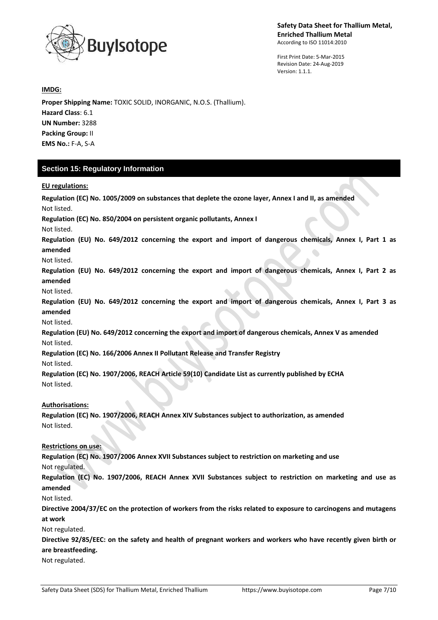

First Print Date: 5-Mar-2015 Revision Date: 24-Aug-2019 Version: 1.1.1.

**IMDG:**

**Proper Shipping Name:** TOXIC SOLID, INORGANIC, N.O.S. (Thallium). **Hazard Class**: 6.1 **UN Number:** 3288 **Packing Group:** II **EMS No.:** F-A, S-A

## **Section 15: Regulatory Information**

**EU regulations:**

**Regulation (EC) No. 1005/2009 on substances that deplete the ozone layer, Annex I and II, as amended** Not listed. **Regulation (EC) No. 850/2004 on persistent organic pollutants, Annex I** Not listed. **Regulation (EU) No. 649/2012 concerning the export and import of dangerous chemicals, Annex I, Part 1 as amended** Not listed. **Regulation (EU) No. 649/2012 concerning the export and import of dangerous chemicals, Annex I, Part 2 as amended** Not listed. **Regulation (EU) No. 649/2012 concerning the export and import of dangerous chemicals, Annex I, Part 3 as amended** Not listed. **Regulation (EU) No. 649/2012 concerning the export and import of dangerous chemicals, Annex V as amended** Not listed. **Regulation (EC) No. 166/2006 Annex II Pollutant Release and Transfer Registry** Not listed. **Regulation (EC) No. 1907/2006, REACH Article 59(10) Candidate List as currently published by ECHA** Not listed. **Authorisations: Regulation (EC) No. 1907/2006, REACH Annex XIV Substances subject to authorization, as amended** Not listed. **Restrictions on use: Regulation (EC) No. 1907/2006 Annex XVII Substances subject to restriction on marketing and use** Not regulated. **Regulation (EC) No. 1907/2006, REACH Annex XVII Substances subject to restriction on marketing and use as amended** Not listed. **Directive 2004/37/EC on the protection of workers from the risks related to exposure to carcinogens and mutagens at work** Not regulated. **Directive 92/85/EEC: on the safety and health of pregnant workers and workers who have recently given birth or are breastfeeding.** Not regulated.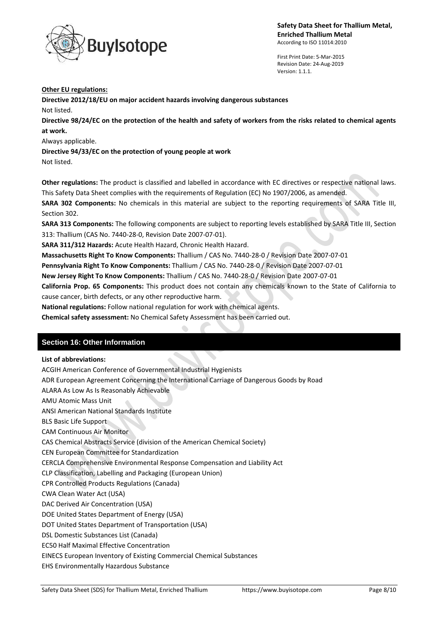

First Print Date: 5-Mar-2015 Revision Date: 24-Aug-2019 Version: 1.1.1.

#### **Other EU regulations:**

**Directive 2012/18/EU on major accident hazards involving dangerous substances** Not listed.

**Directive 98/24/EC on the protection of the health and safety of workers from the risks related to chemical agents at work.**

Always applicable.

**Directive 94/33/EC on the protection of young people at work** Not listed.

**Other regulations:** The product is classified and labelled in accordance with EC directives or respective national laws. This Safety Data Sheet complies with the requirements of Regulation (EC) No 1907/2006, as amended.

**SARA 302 Components:** No chemicals in this material are subject to the reporting requirements of SARA Title III, Section 302.

**SARA 313 Components:** The following components are subject to reporting levels established by SARA Title III, Section 313: Thallium (CAS No. 7440-28-0, Revision Date 2007-07-01).

**SARA 311/312 Hazards:** Acute Health Hazard, Chronic Health Hazard.

**Massachusetts Right To Know Components:** Thallium / CAS No. 7440-28-0 / Revision Date 2007-07-01

**Pennsylvania Right To Know Components:** Thallium / CAS No. 7440-28-0 / Revision Date 2007-07-01

**New Jersey Right To Know Components:** Thallium / CAS No. 7440-28-0 / Revision Date 2007-07-01

**California Prop. 65 Components:** This product does not contain any chemicals known to the State of California to cause cancer, birth defects, or any other reproductive harm.

**National regulations:** Follow national regulation for work with chemical agents.

**Chemical safety assessment:** No Chemical Safety Assessment has been carried out.

## **Section 16: Other Information**

#### **List of abbreviations:**

ACGIH American Conference of Governmental Industrial Hygienists

ADR European Agreement Concerning the International Carriage of Dangerous Goods by Road

 $\sim$ 

ALARA As Low As Is Reasonably Achievable

AMU Atomic Mass Unit

ANSI American National Standards Institute

BLS Basic Life Support

CAM Continuous Air Monitor

CAS Chemical Abstracts Service (division of the American Chemical Society)

CEN European Committee for Standardization

CERCLA Comprehensive Environmental Response Compensation and Liability Act

CLP Classification, Labelling and Packaging (European Union)

CPR Controlled Products Regulations (Canada)

CWA Clean Water Act (USA)

DAC Derived Air Concentration (USA)

DOE United States Department of Energy (USA)

DOT United States Department of Transportation (USA)

DSL Domestic Substances List (Canada)

EC50 Half Maximal Effective Concentration

EINECS European Inventory of Existing Commercial Chemical Substances

EHS Environmentally Hazardous Substance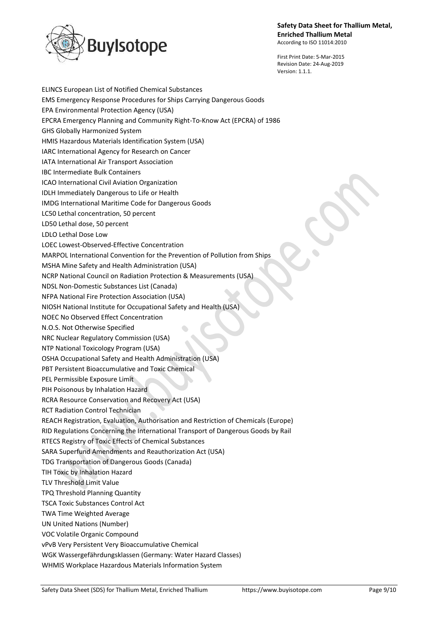

First Print Date: 5-Mar-2015 Revision Date: 24-Aug-2019 Version: 1.1.1.

ELINCS European List of Notified Chemical Substances EMS Emergency Response Procedures for Ships Carrying Dangerous Goods EPA Environmental Protection Agency (USA) EPCRA Emergency Planning and Community Right-To-Know Act (EPCRA) of 1986 GHS Globally Harmonized System HMIS Hazardous Materials Identification System (USA) IARC International Agency for Research on Cancer IATA International Air Transport Association IBC Intermediate Bulk Containers ICAO International Civil Aviation Organization IDLH Immediately Dangerous to Life or Health IMDG International Maritime Code for Dangerous Goods LC50 Lethal concentration, 50 percent LD50 Lethal dose, 50 percent LDLO Lethal Dose Low LOEC Lowest-Observed-Effective Concentration MARPOL International Convention for the Prevention of Pollution from Ships MSHA Mine Safety and Health Administration (USA) NCRP National Council on Radiation Protection & Measurements (USA) NDSL Non-Domestic Substances List (Canada) NFPA National Fire Protection Association (USA) NIOSH National Institute for Occupational Safety and Health (USA) NOEC No Observed Effect Concentration N.O.S. Not Otherwise Specified NRC Nuclear Regulatory Commission (USA) NTP National Toxicology Program (USA) OSHA Occupational Safety and Health Administration (USA) PBT Persistent Bioaccumulative and Toxic Chemical PEL Permissible Exposure Limit PIH Poisonous by Inhalation Hazard RCRA Resource Conservation and Recovery Act (USA) RCT Radiation Control Technician REACH Registration, Evaluation, Authorisation and Restriction of Chemicals (Europe) RID Regulations Concerning the International Transport of Dangerous Goods by Rail RTECS Registry of Toxic Effects of Chemical Substances SARA Superfund Amendments and Reauthorization Act (USA) TDG Transportation of Dangerous Goods (Canada) TIH Toxic by Inhalation Hazard TLV Threshold Limit Value TPQ Threshold Planning Quantity TSCA Toxic Substances Control Act TWA Time Weighted Average UN United Nations (Number) VOC Volatile Organic Compound vPvB Very Persistent Very Bioaccumulative Chemical WGK Wassergefährdungsklassen (Germany: Water Hazard Classes) WHMIS Workplace Hazardous Materials Information System